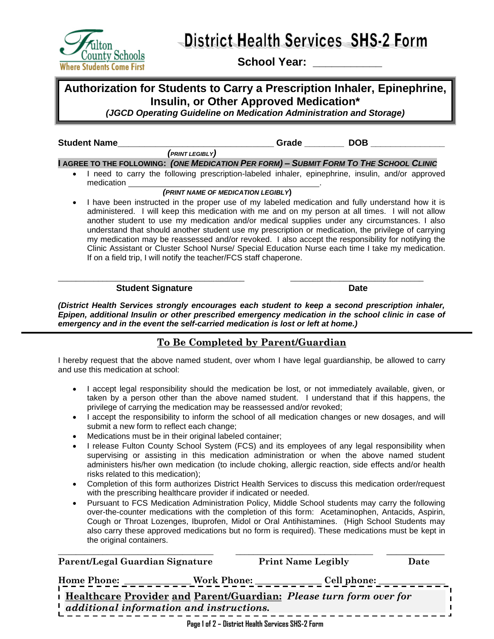

# **District Health Services SHS-2 Form**

School Year:

## **Authorization for Students to Carry a Prescription Inhaler, Epinephrine, Insulin, or Other Approved Medication\*** *(JGCD Operating Guideline on Medication Administration and Storage)*

**Student Name DOB** 

*(PRINT LEGIBLY)*

#### **I AGREE TO THE FOLLOWING: (ONE MEDICATION PER FORM) - SUBMIT FORM TO THE SCHOOL CLINIC**

• I need to carry the following prescription-labeled inhaler, epinephrine, insulin, and/or approved medication .

#### *(PRINT NAME OF MEDICATION LEGIBLY***)**

• I have been instructed in the proper use of my labeled medication and fully understand how it is administered. I will keep this medication with me and on my person at all times. I will not allow another student to use my medication and/or medical supplies under any circumstances. I also understand that should another student use my prescription or medication, the privilege of carrying my medication may be reassessed and/or revoked. I also accept the responsibility for notifying the Clinic Assistant or Cluster School Nurse/ Special Education Nurse each time I take my medication. If on a field trip, I will notify the teacher/FCS staff chaperone.

#### **Student Signature Date** Date

*(District Health Services strongly encourages each student to keep a second prescription inhaler, Epipen, additional Insulin or other prescribed emergency medication in the school clinic in case of emergency and in the event the self-carried medication is lost or left at home.)*

 $\_$  , and the set of the set of the set of the set of the set of the set of the set of the set of the set of the set of the set of the set of the set of the set of the set of the set of the set of the set of the set of th

### **To Be Completed by Parent/Guardian**

I hereby request that the above named student, over whom I have legal guardianship, be allowed to carry and use this medication at school:

- I accept legal responsibility should the medication be lost, or not immediately available, given, or taken by a person other than the above named student. I understand that if this happens, the privilege of carrying the medication may be reassessed and/or revoked;
- I accept the responsibility to inform the school of all medication changes or new dosages, and will submit a new form to reflect each change;
- Medications must be in their original labeled container;
- I release Fulton County School System (FCS) and its employees of any legal responsibility when supervising or assisting in this medication administration or when the above named student administers his/her own medication (to include choking, allergic reaction, side effects and/or health risks related to this medication);
- Completion of this form authorizes District Health Services to discuss this medication order/request with the prescribing healthcare provider if indicated or needed.
- Pursuant to FCS Medication Administration Policy, Middle School students may carry the following over-the-counter medications with the completion of this form: Acetaminophen, Antacids, Aspirin, Cough or Throat Lozenges, Ibuprofen, Midol or Oral Antihistamines. (High School Students may also carry these approved medications but no form is required). These medications must be kept in the original containers.

| Parent/Legal Guardian Signature          |  | <b>Print Name Legibly</b>                                            | Date |
|------------------------------------------|--|----------------------------------------------------------------------|------|
|                                          |  |                                                                      |      |
| additional information and instructions. |  | I Healthcare Provider and Parent/Guardian: Please turn form over for |      |
|                                          |  | Page 1 of 2 – District Health Services SHS-2 Form                    |      |